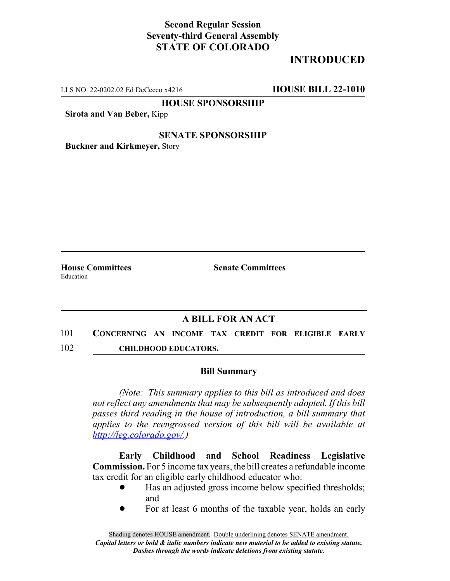## **Second Regular Session Seventy-third General Assembly STATE OF COLORADO**

# **INTRODUCED**

LLS NO. 22-0202.02 Ed DeCecco x4216 **HOUSE BILL 22-1010**

**HOUSE SPONSORSHIP**

**Sirota and Van Beber,** Kipp

#### **SENATE SPONSORSHIP**

**Buckner and Kirkmeyer,** Story

Education

**House Committees Senate Committees**

### **A BILL FOR AN ACT**

101 **CONCERNING AN INCOME TAX CREDIT FOR ELIGIBLE EARLY** 102 **CHILDHOOD EDUCATORS.**

#### **Bill Summary**

*(Note: This summary applies to this bill as introduced and does not reflect any amendments that may be subsequently adopted. If this bill passes third reading in the house of introduction, a bill summary that applies to the reengrossed version of this bill will be available at http://leg.colorado.gov/.)*

**Early Childhood and School Readiness Legislative Commission.** For 5 income tax years, the bill creates a refundable income tax credit for an eligible early childhood educator who:

- ! Has an adjusted gross income below specified thresholds; and
- ! For at least 6 months of the taxable year, holds an early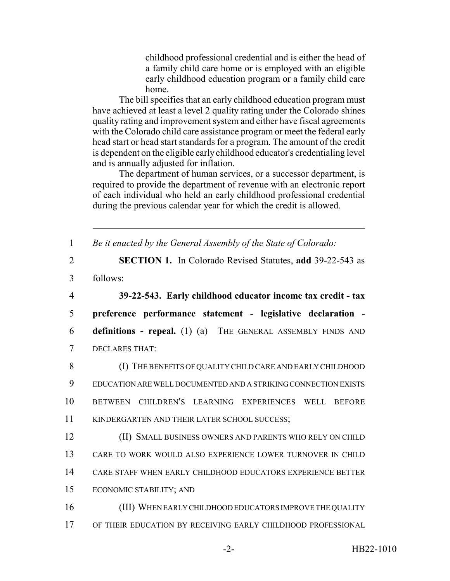childhood professional credential and is either the head of a family child care home or is employed with an eligible early childhood education program or a family child care home.

The bill specifies that an early childhood education program must have achieved at least a level 2 quality rating under the Colorado shines quality rating and improvement system and either have fiscal agreements with the Colorado child care assistance program or meet the federal early head start or head start standards for a program. The amount of the credit is dependent on the eligible early childhood educator's credentialing level and is annually adjusted for inflation.

The department of human services, or a successor department, is required to provide the department of revenue with an electronic report of each individual who held an early childhood professional credential during the previous calendar year for which the credit is allowed.

 *Be it enacted by the General Assembly of the State of Colorado:* **SECTION 1.** In Colorado Revised Statutes, **add** 39-22-543 as 3 follows: **39-22-543. Early childhood educator income tax credit - tax preference performance statement - legislative declaration - definitions - repeal.** (1) (a) THE GENERAL ASSEMBLY FINDS AND DECLARES THAT: (I) THE BENEFITS OF QUALITY CHILD CARE AND EARLY CHILDHOOD EDUCATION ARE WELL DOCUMENTED AND A STRIKING CONNECTION EXISTS BETWEEN CHILDREN'S LEARNING EXPERIENCES WELL BEFORE KINDERGARTEN AND THEIR LATER SCHOOL SUCCESS; (II) SMALL BUSINESS OWNERS AND PARENTS WHO RELY ON CHILD CARE TO WORK WOULD ALSO EXPERIENCE LOWER TURNOVER IN CHILD CARE STAFF WHEN EARLY CHILDHOOD EDUCATORS EXPERIENCE BETTER ECONOMIC STABILITY; AND (III) WHEN EARLY CHILDHOOD EDUCATORS IMPROVE THE QUALITY OF THEIR EDUCATION BY RECEIVING EARLY CHILDHOOD PROFESSIONAL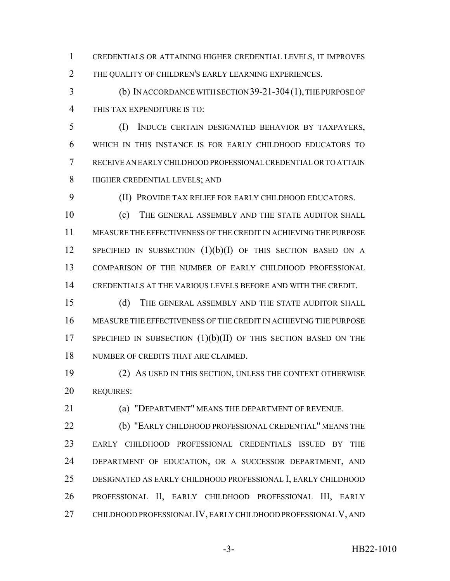CREDENTIALS OR ATTAINING HIGHER CREDENTIAL LEVELS, IT IMPROVES THE QUALITY OF CHILDREN'S EARLY LEARNING EXPERIENCES.

 (b) IN ACCORDANCE WITH SECTION 39-21-304(1), THE PURPOSE OF THIS TAX EXPENDITURE IS TO:

 (I) INDUCE CERTAIN DESIGNATED BEHAVIOR BY TAXPAYERS, WHICH IN THIS INSTANCE IS FOR EARLY CHILDHOOD EDUCATORS TO RECEIVE AN EARLY CHILDHOOD PROFESSIONAL CREDENTIAL OR TO ATTAIN HIGHER CREDENTIAL LEVELS; AND

(II) PROVIDE TAX RELIEF FOR EARLY CHILDHOOD EDUCATORS.

 (c) THE GENERAL ASSEMBLY AND THE STATE AUDITOR SHALL MEASURE THE EFFECTIVENESS OF THE CREDIT IN ACHIEVING THE PURPOSE 12 SPECIFIED IN SUBSECTION  $(1)(b)(I)$  of this section based on a COMPARISON OF THE NUMBER OF EARLY CHILDHOOD PROFESSIONAL CREDENTIALS AT THE VARIOUS LEVELS BEFORE AND WITH THE CREDIT.

 (d) THE GENERAL ASSEMBLY AND THE STATE AUDITOR SHALL MEASURE THE EFFECTIVENESS OF THE CREDIT IN ACHIEVING THE PURPOSE 17 SPECIFIED IN SUBSECTION  $(1)(b)(II)$  of this section based on the NUMBER OF CREDITS THAT ARE CLAIMED.

 (2) AS USED IN THIS SECTION, UNLESS THE CONTEXT OTHERWISE REQUIRES:

(a) "DEPARTMENT" MEANS THE DEPARTMENT OF REVENUE.

 (b) "EARLY CHILDHOOD PROFESSIONAL CREDENTIAL" MEANS THE EARLY CHILDHOOD PROFESSIONAL CREDENTIALS ISSUED BY THE DEPARTMENT OF EDUCATION, OR A SUCCESSOR DEPARTMENT, AND DESIGNATED AS EARLY CHILDHOOD PROFESSIONAL I, EARLY CHILDHOOD PROFESSIONAL II, EARLY CHILDHOOD PROFESSIONAL III, EARLY CHILDHOOD PROFESSIONAL IV, EARLY CHILDHOOD PROFESSIONAL V, AND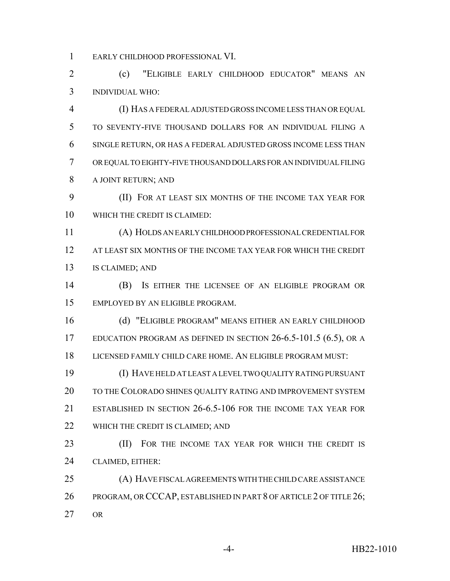EARLY CHILDHOOD PROFESSIONAL VI.

 (c) "ELIGIBLE EARLY CHILDHOOD EDUCATOR" MEANS AN INDIVIDUAL WHO:

 (I) HAS A FEDERAL ADJUSTED GROSS INCOME LESS THAN OR EQUAL TO SEVENTY-FIVE THOUSAND DOLLARS FOR AN INDIVIDUAL FILING A SINGLE RETURN, OR HAS A FEDERAL ADJUSTED GROSS INCOME LESS THAN OR EQUAL TO EIGHTY-FIVE THOUSAND DOLLARS FOR AN INDIVIDUAL FILING A JOINT RETURN; AND

 (II) FOR AT LEAST SIX MONTHS OF THE INCOME TAX YEAR FOR WHICH THE CREDIT IS CLAIMED:

 (A) HOLDS AN EARLY CHILDHOOD PROFESSIONAL CREDENTIAL FOR AT LEAST SIX MONTHS OF THE INCOME TAX YEAR FOR WHICH THE CREDIT IS CLAIMED; AND

 (B) IS EITHER THE LICENSEE OF AN ELIGIBLE PROGRAM OR EMPLOYED BY AN ELIGIBLE PROGRAM.

 (d) "ELIGIBLE PROGRAM" MEANS EITHER AN EARLY CHILDHOOD 17 EDUCATION PROGRAM AS DEFINED IN SECTION 26-6.5-101.5 (6.5), OR A LICENSED FAMILY CHILD CARE HOME. AN ELIGIBLE PROGRAM MUST:

 (I) HAVE HELD AT LEAST A LEVEL TWO QUALITY RATING PURSUANT 20 TO THE COLORADO SHINES QUALITY RATING AND IMPROVEMENT SYSTEM ESTABLISHED IN SECTION 26-6.5-106 FOR THE INCOME TAX YEAR FOR 22 WHICH THE CREDIT IS CLAIMED; AND

23 (II) FOR THE INCOME TAX YEAR FOR WHICH THE CREDIT IS CLAIMED, EITHER:

 (A) HAVE FISCAL AGREEMENTS WITH THE CHILD CARE ASSISTANCE 26 PROGRAM, OR CCCAP, ESTABLISHED IN PART 8 OF ARTICLE 2 OF TITLE 26; OR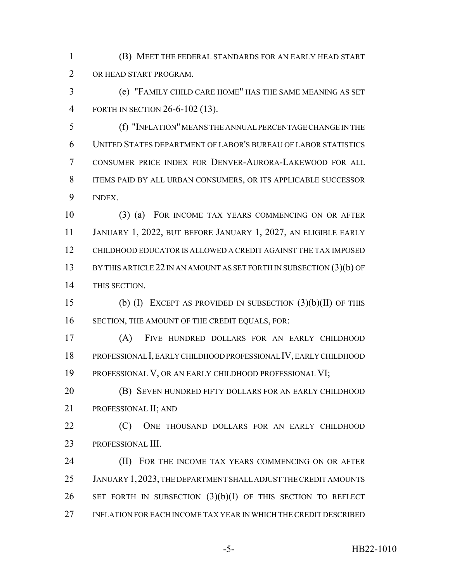(B) MEET THE FEDERAL STANDARDS FOR AN EARLY HEAD START OR HEAD START PROGRAM.

 (e) "FAMILY CHILD CARE HOME" HAS THE SAME MEANING AS SET FORTH IN SECTION 26-6-102 (13).

 (f) "INFLATION" MEANS THE ANNUAL PERCENTAGE CHANGE IN THE UNITED STATES DEPARTMENT OF LABOR'S BUREAU OF LABOR STATISTICS CONSUMER PRICE INDEX FOR DENVER-AURORA-LAKEWOOD FOR ALL ITEMS PAID BY ALL URBAN CONSUMERS, OR ITS APPLICABLE SUCCESSOR INDEX.

 (3) (a) FOR INCOME TAX YEARS COMMENCING ON OR AFTER JANUARY 1, 2022, BUT BEFORE JANUARY 1, 2027, AN ELIGIBLE EARLY CHILDHOOD EDUCATOR IS ALLOWED A CREDIT AGAINST THE TAX IMPOSED 13 BY THIS ARTICLE 22 IN AN AMOUNT AS SET FORTH IN SUBSECTION (3)(b) OF THIS SECTION.

 (b) (I) EXCEPT AS PROVIDED IN SUBSECTION (3)(b)(II) OF THIS 16 SECTION, THE AMOUNT OF THE CREDIT EQUALS, FOR:

 (A) FIVE HUNDRED DOLLARS FOR AN EARLY CHILDHOOD PROFESSIONAL I, EARLY CHILDHOOD PROFESSIONAL IV, EARLY CHILDHOOD PROFESSIONAL V, OR AN EARLY CHILDHOOD PROFESSIONAL VI;

 (B) SEVEN HUNDRED FIFTY DOLLARS FOR AN EARLY CHILDHOOD PROFESSIONAL II; AND

**(C)** ONE THOUSAND DOLLARS FOR AN EARLY CHILDHOOD PROFESSIONAL III.

**(II) FOR THE INCOME TAX YEARS COMMENCING ON OR AFTER**  JANUARY 1,2023, THE DEPARTMENT SHALL ADJUST THE CREDIT AMOUNTS 26 SET FORTH IN SUBSECTION  $(3)(b)(I)$  of this section to reflect INFLATION FOR EACH INCOME TAX YEAR IN WHICH THE CREDIT DESCRIBED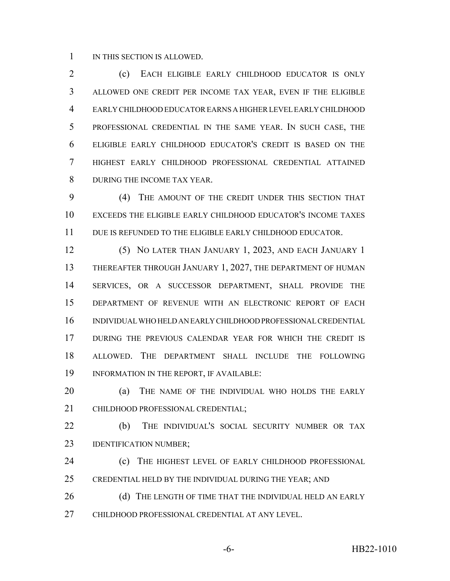1 IN THIS SECTION IS ALLOWED.

 (c) EACH ELIGIBLE EARLY CHILDHOOD EDUCATOR IS ONLY ALLOWED ONE CREDIT PER INCOME TAX YEAR, EVEN IF THE ELIGIBLE EARLY CHILDHOOD EDUCATOR EARNS A HIGHER LEVEL EARLY CHILDHOOD PROFESSIONAL CREDENTIAL IN THE SAME YEAR. IN SUCH CASE, THE ELIGIBLE EARLY CHILDHOOD EDUCATOR'S CREDIT IS BASED ON THE HIGHEST EARLY CHILDHOOD PROFESSIONAL CREDENTIAL ATTAINED DURING THE INCOME TAX YEAR.

 (4) THE AMOUNT OF THE CREDIT UNDER THIS SECTION THAT EXCEEDS THE ELIGIBLE EARLY CHILDHOOD EDUCATOR'S INCOME TAXES DUE IS REFUNDED TO THE ELIGIBLE EARLY CHILDHOOD EDUCATOR.

 (5) NO LATER THAN JANUARY 1, 2023, AND EACH JANUARY 1 THEREAFTER THROUGH JANUARY 1, 2027, THE DEPARTMENT OF HUMAN SERVICES, OR A SUCCESSOR DEPARTMENT, SHALL PROVIDE THE DEPARTMENT OF REVENUE WITH AN ELECTRONIC REPORT OF EACH INDIVIDUAL WHO HELD AN EARLY CHILDHOOD PROFESSIONAL CREDENTIAL DURING THE PREVIOUS CALENDAR YEAR FOR WHICH THE CREDIT IS ALLOWED. THE DEPARTMENT SHALL INCLUDE THE FOLLOWING INFORMATION IN THE REPORT, IF AVAILABLE:

 (a) THE NAME OF THE INDIVIDUAL WHO HOLDS THE EARLY CHILDHOOD PROFESSIONAL CREDENTIAL;

 (b) THE INDIVIDUAL'S SOCIAL SECURITY NUMBER OR TAX **IDENTIFICATION NUMBER**;

**(c)** THE HIGHEST LEVEL OF EARLY CHILDHOOD PROFESSIONAL CREDENTIAL HELD BY THE INDIVIDUAL DURING THE YEAR; AND

26 (d) THE LENGTH OF TIME THAT THE INDIVIDUAL HELD AN EARLY CHILDHOOD PROFESSIONAL CREDENTIAL AT ANY LEVEL.